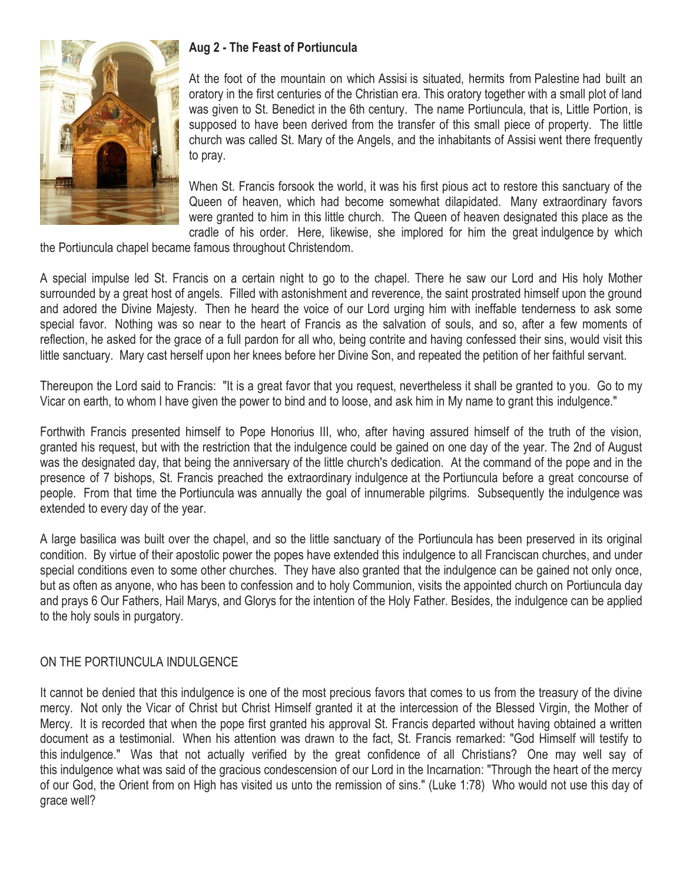

# **Aug 2 - The Feast of Portiuncula**

At the foot of the mountain on which Assisi is situated, hermits from Palestine had built an oratory in the first centuries of the Christian era. This oratory together with a small plot of land was given to St. Benedict in the 6th century. The name Portiuncula, that is, Little Portion, is supposed to have been derived from the transfer of this small piece of property. The little church was called St. Mary of the Angels, and the inhabitants of Assisi went there frequently to pray.

When St. Francis forsook the world, it was his first pious act to restore this sanctuary of the Queen of heaven, which had become somewhat dilapidated. Many extraordinary favors were granted to him in this little church. The Queen of heaven designated this place as the cradle of his order. Here, likewise, she implored for him the great indulgence by which

the Portiuncula chapel became famous throughout Christendom.

A special impulse led St. Francis on a certain night to go to the chapel. There he saw our Lord and His holy Mother surrounded by a great host of angels. Filled with astonishment and reverence, the saint prostrated himself upon the ground and adored the Divine Majesty. Then he heard the voice of our Lord urging him with ineffable tenderness to ask some special favor. Nothing was so near to the heart of Francis as the salvation of souls, and so, after a few moments of reflection, he asked for the grace of a full pardon for all who, being contrite and having confessed their sins, would visit this little sanctuary. Mary cast herself upon her knees before her Divine Son, and repeated the petition of her faithful servant.

Thereupon the Lord said to Francis: "It is a great favor that you request, nevertheless it shall be granted to you. Go to my Vicar on earth, to whom I have given the power to bind and to loose, and ask him in My name to grant this indulgence."

Forthwith Francis presented himself to Pope Honorius III, who, after having assured himself of the truth of the vision, granted his request, but with the restriction that the indulgence could be gained on one day of the year. The 2nd of August was the designated day, that being the anniversary of the little church's dedication. At the command of the pope and in the presence of 7 bishops, St. Francis preached the extraordinary indulgence at the Portiuncula before a great concourse of people. From that time the Portiuncula was annually the goal of innumerable pilgrims. Subsequently the indulgence was extended to every day of the year.

A large basilica was built over the chapel, and so the little sanctuary of the Portiuncula has been preserved in its original condition. By virtue of their apostolic power the popes have extended this indulgence to all Franciscan churches, and under special conditions even to some other churches. They have also granted that the indulgence can be gained not only once, but as often as anyone, who has been to confession and to holy Communion, visits the appointed church on Portiuncula day and prays 6 Our Fathers, Hail Marys, and Glorys for the intention of the Holy Father. Besides, the indulgence can be applied to the holy souls in purgatory.

### ON THE PORTIUNCULA INDULGENCE

It cannot be denied that this indulgence is one of the most precious favors that comes to us from the treasury of the divine mercy. Not only the Vicar of Christ but Christ Himself granted it at the intercession of the Blessed Virgin, the Mother of Mercy. It is recorded that when the pope first granted his approval St. Francis departed without having obtained a written document as a testimonial. When his attention was drawn to the fact, St. Francis remarked: "God Himself will testify to this indulgence." Was that not actually verified by the great confidence of all Christians? One may well say of this indulgence what was said of the gracious condescension of our Lord in the Incarnation: "Through the heart of the mercy of our God, the Orient from on High has visited us unto the remission of sins." (Luke 1:78) Who would not use this day of grace well?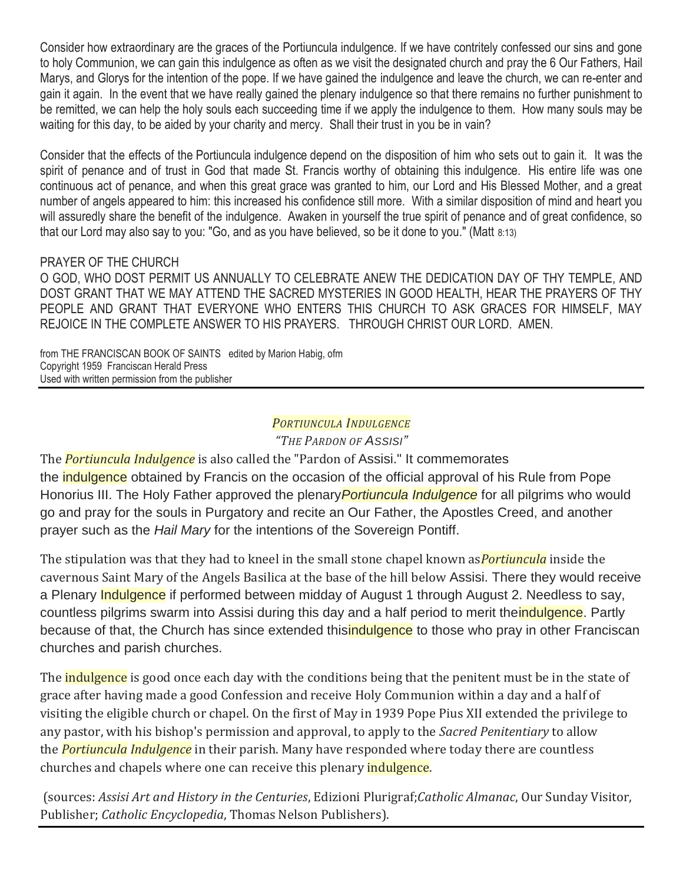Consider how extraordinary are the graces of the Portiuncula indulgence. If we have contritely confessed our sins and gone to holy Communion, we can gain this indulgence as often as we visit the designated church and pray the 6 Our Fathers, Hail Marys, and Glorys for the intention of the pope. If we have gained the indulgence and leave the church, we can re-enter and gain it again. In the event that we have really gained the plenary indulgence so that there remains no further punishment to be remitted, we can help the holy souls each succeeding time if we apply the indulgence to them. How many souls may be waiting for this day, to be aided by your charity and mercy. Shall their trust in you be in vain?

Consider that the effects of the Portiuncula indulgence depend on the disposition of him who sets out to gain it. It was the spirit of penance and of trust in God that made St. Francis worthy of obtaining this indulgence. His entire life was one continuous act of penance, and when this great grace was granted to him, our Lord and His Blessed Mother, and a great number of angels appeared to him: this increased his confidence still more. With a similar disposition of mind and heart you will assuredly share the benefit of the indulgence. Awaken in yourself the true spirit of penance and of great confidence, so that our Lord may also say to you: "Go, and as you have believed, so be it done to you." (Matt 8:13)

#### PRAYER OF THE CHURCH

O GOD, WHO DOST PERMIT US ANNUALLY TO CELEBRATE ANEW THE DEDICATION DAY OF THY TEMPLE, AND DOST GRANT THAT WE MAY ATTEND THE SACRED MYSTERIES IN GOOD HEALTH, HEAR THE PRAYERS OF THY PEOPLE AND GRANT THAT EVERYONE WHO ENTERS THIS CHURCH TO ASK GRACES FOR HIMSELF, MAY REJOICE IN THE COMPLETE ANSWER TO HIS PRAYERS. THROUGH CHRIST OUR LORD. AMEN.

from THE FRANCISCAN BOOK OF SAINTS edited by Marion Habig, ofm Copyright 1959 Franciscan Herald Press Used with written permission from the publisher

# *PORTIUNCULA INDULGENCE*

*"THE PARDON OF ASSISI"*

The *Portiuncula Indulgence* is also called the "Pardon of Assisi." It commemorates the **indulgence** obtained by Francis on the occasion of the official approval of his Rule from Pope Honorius III. The Holy Father approved the plenary*Portiuncula Indulgence* for all pilgrims who would go and pray for the souls in Purgatory and recite an Our Father, the Apostles Creed, and another prayer such as the *Hail Mary* for the intentions of the Sovereign Pontiff.

The stipulation was that they had to kneel in the small stone chapel known as*Portiuncula* inside the cavernous Saint Mary of the Angels Basilica at the base of the hill below Assisi. There they would receive a Plenary **Indulgence** if performed between midday of August 1 through August 2. Needless to say, countless pilgrims swarm into Assisi during this day and a half period to merit the indulgence. Partly because of that, the Church has since extended this**indulgence** to those who pray in other Franciscan churches and parish churches.

The **indulgence** is good once each day with the conditions being that the penitent must be in the state of grace after having made a good Confession and receive Holy Communion within a day and a half of visiting the eligible church or chapel. On the first of May in 1939 Pope Pius XII extended the privilege to any pastor, with his bishop's permission and approval, to apply to the *Sacred Penitentiary* to allow the *Portiuncula Indulgence* in their parish. Many have responded where today there are countless churches and chapels where one can receive this plenary indulgence.

(sources: *Assisi Art and History in the Centuries*, Edizioni Plurigraf;*Catholic Almanac*, Our Sunday Visitor, Publisher; *Catholic Encyclopedia*, Thomas Nelson Publishers).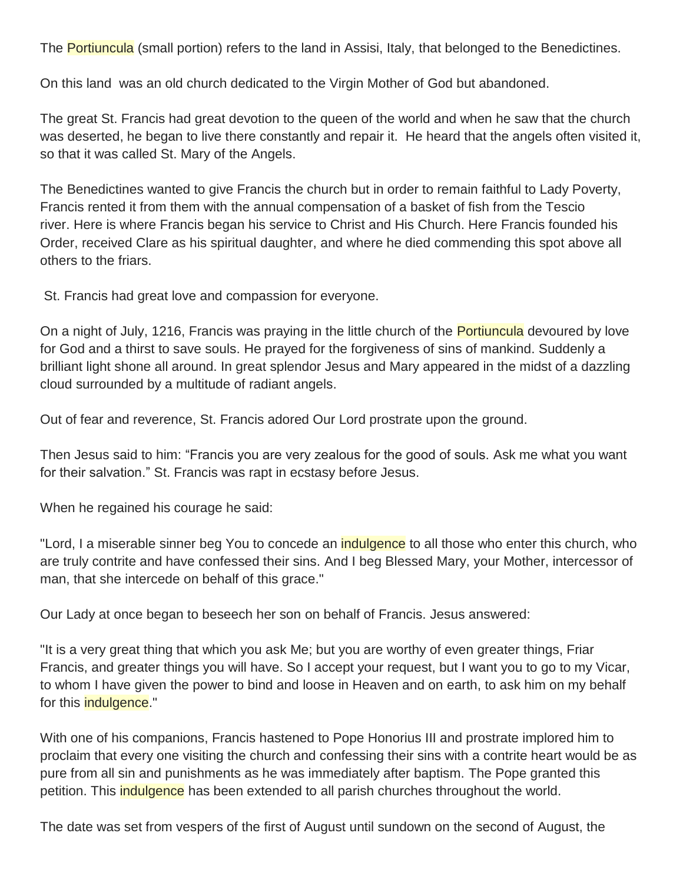The Portiuncula (small portion) refers to the land in Assisi, Italy, that belonged to the Benedictines.

On this land was an old church dedicated to the Virgin Mother of God but abandoned.

The great St. Francis had great devotion to the queen of the world and when he saw that the church was deserted, he began to live there constantly and repair it. He heard that the angels often visited it, so that it was called St. Mary of the Angels.

The Benedictines wanted to give Francis the church but in order to remain faithful to Lady Poverty, Francis rented it from them with the annual compensation of a basket of fish from the Tescio river. Here is where Francis began his service to Christ and His Church. Here Francis founded his Order, received Clare as his spiritual daughter, and where he died commending this spot above all others to the friars.

St. Francis had great love and compassion for everyone.

On a night of July, 1216, Francis was praying in the little church of the **Portiuncula** devoured by love for God and a thirst to save souls. He prayed for the forgiveness of sins of mankind. Suddenly a brilliant light shone all around. In great splendor Jesus and Mary appeared in the midst of a dazzling cloud surrounded by a multitude of radiant angels.

Out of fear and reverence, St. Francis adored Our Lord prostrate upon the ground.

Then Jesus said to him: "Francis you are very zealous for the good of souls. Ask me what you want for their salvation." St. Francis was rapt in ecstasy before Jesus.

When he regained his courage he said:

"Lord, I a miserable sinner beg You to concede an *indulgence* to all those who enter this church, who are truly contrite and have confessed their sins. And I beg Blessed Mary, your Mother, intercessor of man, that she intercede on behalf of this grace."

Our Lady at once began to beseech her son on behalf of Francis. Jesus answered:

"It is a very great thing that which you ask Me; but you are worthy of even greater things, Friar Francis, and greater things you will have. So I accept your request, but I want you to go to my Vicar, to whom I have given the power to bind and loose in Heaven and on earth, to ask him on my behalf for this **indulgence**."

With one of his companions, Francis hastened to Pope Honorius III and prostrate implored him to proclaim that every one visiting the church and confessing their sins with a contrite heart would be as pure from all sin and punishments as he was immediately after baptism. The Pope granted this petition. This *indulgence* has been extended to all parish churches throughout the world.

The date was set from vespers of the first of August until sundown on the second of August, the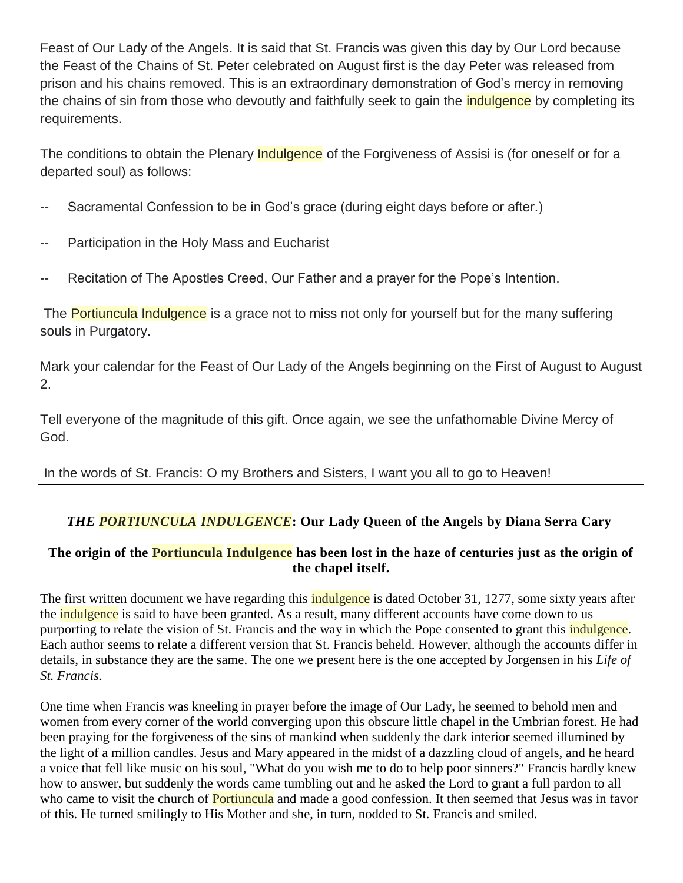Feast of Our Lady of the Angels. It is said that St. Francis was given this day by Our Lord because the Feast of the Chains of St. Peter celebrated on August first is the day Peter was released from prison and his chains removed. This is an extraordinary demonstration of God's mercy in removing the chains of sin from those who devoutly and faithfully seek to gain the *indulgence* by completing its requirements.

The conditions to obtain the Plenary Indulgence of the Forgiveness of Assisi is (for oneself or for a departed soul) as follows:

- -- Sacramental Confession to be in God's grace (during eight days before or after.)
- -- Participation in the Holy Mass and Eucharist
- -- Recitation of The Apostles Creed, Our Father and a prayer for the Pope's Intention.

The **Portiuncula Indulgence** is a grace not to miss not only for yourself but for the many suffering souls in Purgatory.

Mark your calendar for the Feast of Our Lady of the Angels beginning on the First of August to August 2.

Tell everyone of the magnitude of this gift. Once again, we see the unfathomable Divine Mercy of God.

In the words of St. Francis: O my Brothers and Sisters, I want you all to go to Heaven!

## *THE PORTIUNCULA INDULGENCE***: Our Lady Queen of the Angels by Diana Serra Cary**

### **The origin of the Portiuncula Indulgence has been lost in the haze of centuries just as the origin of the chapel itself.**

The first written document we have regarding this **indulgence** is dated October 31, 1277, some sixty years after the **indulgence** is said to have been granted. As a result, many different accounts have come down to us purporting to relate the vision of St. Francis and the way in which the Pope consented to grant this *indulgence*. Each author seems to relate a different version that St. Francis beheld. However, although the accounts differ in details, in substance they are the same. The one we present here is the one accepted by Jorgensen in his *Life of St. Francis.*

One time when Francis was kneeling in prayer before the image of Our Lady, he seemed to behold men and women from every corner of the world converging upon this obscure little chapel in the Umbrian forest. He had been praying for the forgiveness of the sins of mankind when suddenly the dark interior seemed illumined by the light of a million candles. Jesus and Mary appeared in the midst of a dazzling cloud of angels, and he heard a voice that fell like music on his soul, "What do you wish me to do to help poor sinners?" Francis hardly knew how to answer, but suddenly the words came tumbling out and he asked the Lord to grant a full pardon to all who came to visit the church of **Portiuncula** and made a good confession. It then seemed that Jesus was in favor of this. He turned smilingly to His Mother and she, in turn, nodded to St. Francis and smiled.